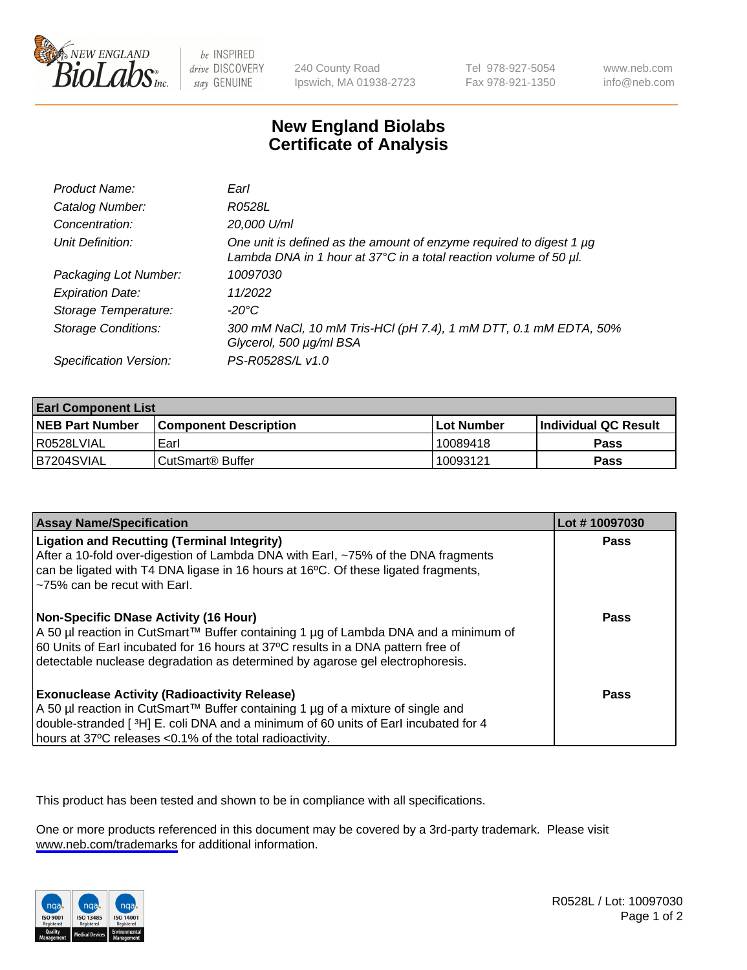

be INSPIRED drive DISCOVERY stay GENUINE

240 County Road Ipswich, MA 01938-2723 Tel 978-927-5054 Fax 978-921-1350

www.neb.com info@neb.com

## **New England Biolabs Certificate of Analysis**

| Product Name:              | Earl                                                                                                                                                         |
|----------------------------|--------------------------------------------------------------------------------------------------------------------------------------------------------------|
| Catalog Number:            | R0528L                                                                                                                                                       |
| Concentration:             | 20,000 U/ml                                                                                                                                                  |
| Unit Definition:           | One unit is defined as the amount of enzyme required to digest 1 $\mu$ g<br>Lambda DNA in 1 hour at $37^{\circ}$ C in a total reaction volume of 50 $\mu$ l. |
| Packaging Lot Number:      | 10097030                                                                                                                                                     |
| <b>Expiration Date:</b>    | 11/2022                                                                                                                                                      |
| Storage Temperature:       | $-20^{\circ}$ C                                                                                                                                              |
| <b>Storage Conditions:</b> | 300 mM NaCl, 10 mM Tris-HCl (pH 7.4), 1 mM DTT, 0.1 mM EDTA, 50%<br>Glycerol, 500 µg/ml BSA                                                                  |
| Specification Version:     | PS-R0528S/L v1.0                                                                                                                                             |

| <b>Earl Component List</b> |                              |              |                             |  |
|----------------------------|------------------------------|--------------|-----------------------------|--|
| <b>NEB Part Number</b>     | <b>Component Description</b> | l Lot Number | <b>Individual QC Result</b> |  |
| I R0528LVIAL               | Earl                         | 10089418     | Pass                        |  |
| B7204SVIAL                 | l CutSmart® Buffer           | 10093121     | Pass                        |  |

| <b>Assay Name/Specification</b>                                                                                                                                                                                                                                                                     | Lot #10097030 |
|-----------------------------------------------------------------------------------------------------------------------------------------------------------------------------------------------------------------------------------------------------------------------------------------------------|---------------|
| <b>Ligation and Recutting (Terminal Integrity)</b><br>After a 10-fold over-digestion of Lambda DNA with Earl, ~75% of the DNA fragments<br>can be ligated with T4 DNA ligase in 16 hours at 16 <sup>o</sup> C. Of these ligated fragments,<br>~75% can be recut with Earl.                          | Pass          |
| Non-Specific DNase Activity (16 Hour)<br>  A 50 µl reaction in CutSmart™ Buffer containing 1 µg of Lambda DNA and a minimum of<br>60 Units of Earl incubated for 16 hours at 37°C results in a DNA pattern free of<br>detectable nuclease degradation as determined by agarose gel electrophoresis. | Pass          |
| <b>Exonuclease Activity (Radioactivity Release)</b><br>A 50 µl reaction in CutSmart™ Buffer containing 1 µg of a mixture of single and<br>double-stranded [3H] E. coli DNA and a minimum of 60 units of Earl incubated for 4<br>hours at 37°C releases <0.1% of the total radioactivity.            | Pass          |

This product has been tested and shown to be in compliance with all specifications.

One or more products referenced in this document may be covered by a 3rd-party trademark. Please visit <www.neb.com/trademarks>for additional information.